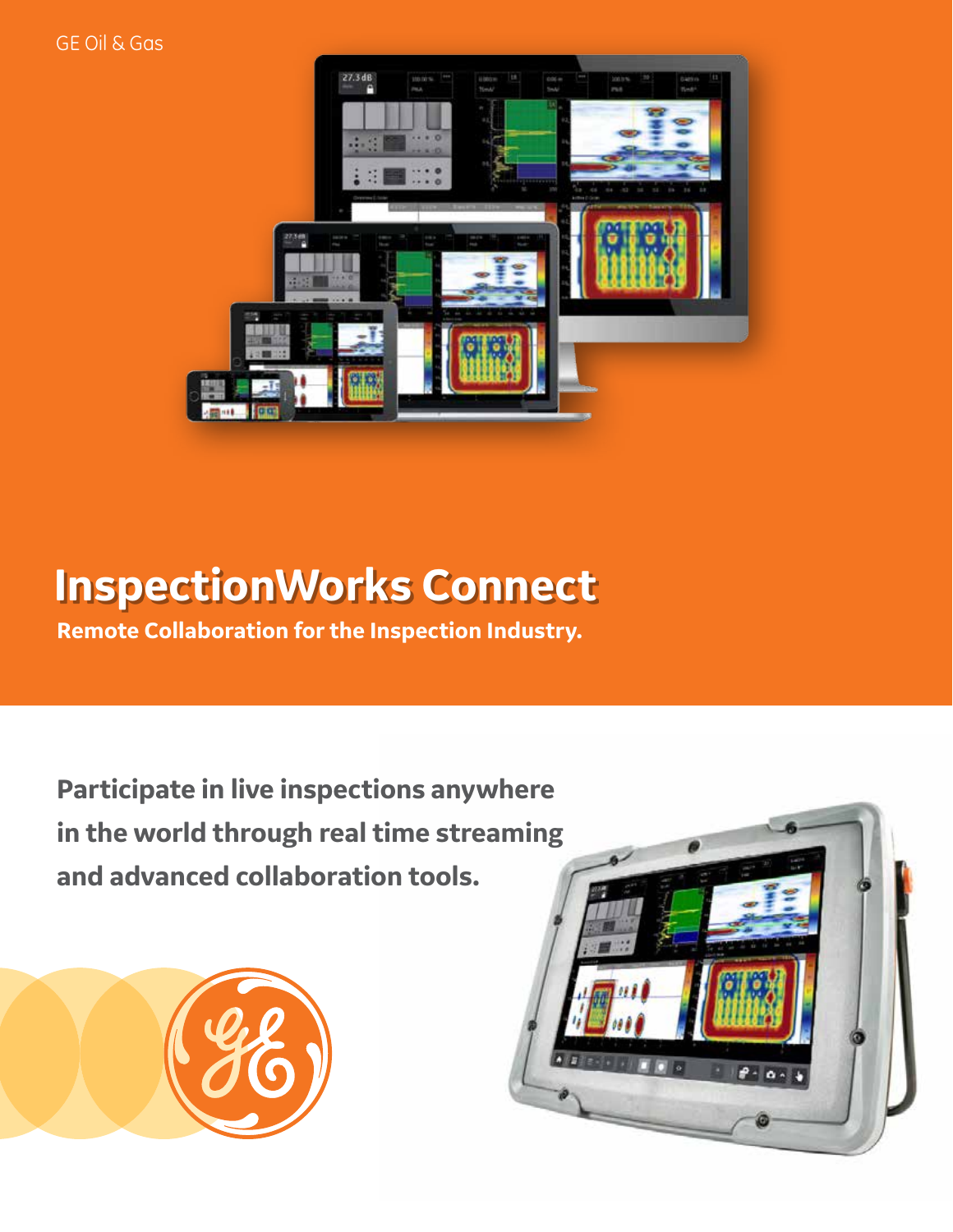GE Oil & Gas



# **InspectionWorks Connect**

**Remote Collaboration for the Inspection Industry.**

**Participate in live inspections anywhere in the world through real time streaming and advanced collaboration tools.**